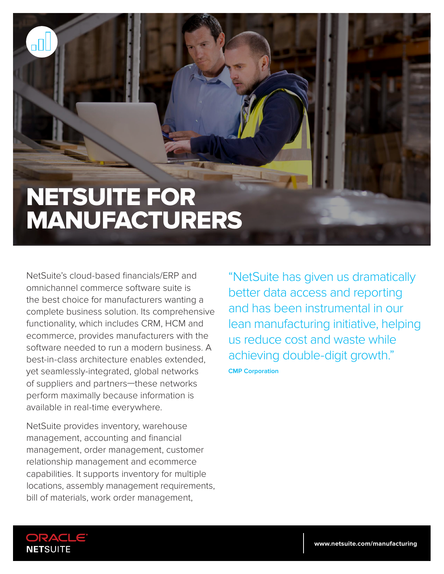# NETSUITE FOR MANUFACTURERS

NetSuite's cloud-based financials/ERP and omnichannel commerce software suite is the best choice for manufacturers wanting a complete business solution. Its comprehensive functionality, which includes CRM, HCM and ecommerce, provides manufacturers with the software needed to run a modern business. A best-in-class architecture enables extended, yet seamlessly-integrated, global networks of suppliers and partners—these networks perform maximally because information is available in real-time everywhere.

NetSuite provides inventory, warehouse management, accounting and financial management, order management, customer relationship management and ecommerce capabilities. It supports inventory for multiple locations, assembly management requirements, bill of materials, work order management,

"NetSuite has given us dramatically better data access and reporting and has been instrumental in our lean manufacturing initiative, helping us reduce cost and waste while achieving double-digit growth." **CMP Corporation**



пN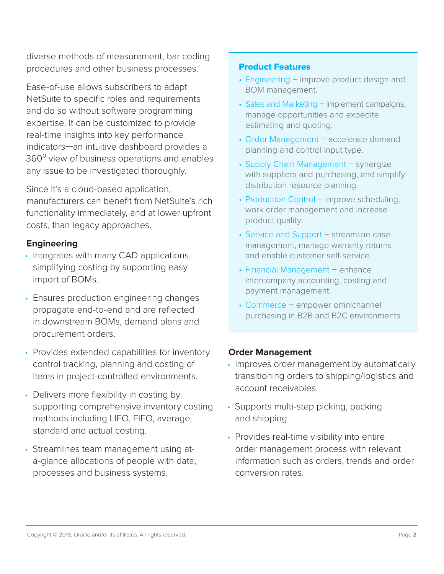diverse methods of measurement, bar coding procedures and other business processes.

Ease-of-use allows subscribers to adapt NetSuite to specific roles and requirements and do so without software programming expertise. It can be customized to provide real-time insights into key performance indicators—an intuitive dashboard provides a 360<sup>°</sup> view of business operations and enables any issue to be investigated thoroughly.

Since it's a cloud-based application, manufacturers can benefit from NetSuite's rich functionality immediately, and at lower upfront costs, than legacy approaches.

# **Engineering**

- Integrates with many CAD applications, simplifying costing by supporting easy import of BOMs.
- Ensures production engineering changes propagate end-to-end and are reflected in downstream BOMs, demand plans and procurement orders.
- Provides extended capabilities for inventory control tracking, planning and costing of items in project-controlled environments.
- Delivers more flexibility in costing by supporting comprehensive inventory costing methods including LIFO, FIFO, average, standard and actual costing.
- Streamlines team management using ata-glance allocations of people with data, processes and business systems.

## Product Features

- Engineering improve product design and BOM management.
- Sales and Marketing implement campaigns, manage opportunities and expedite estimating and quoting.
- Order Management accelerate demand planning and control input type.
- Supply Chain Management synergize with suppliers and purchasing, and simplify distribution resource planning.
- Production Control improve scheduling, work order management and increase product quality.
- Service and Support streamline case management, manage warranty returns and enable customer self-service.
- Financial Management enhance intercompany accounting, costing and payment management.
- Commerce empower omnichannel purchasing in B2B and B2C environments.

## **Order Management**

- Improves order management by automatically transitioning orders to shipping/logistics and account receivables.
- Supports multi-step picking, packing and shipping.
- Provides real-time visibility into entire order management process with relevant information such as orders, trends and order conversion rates.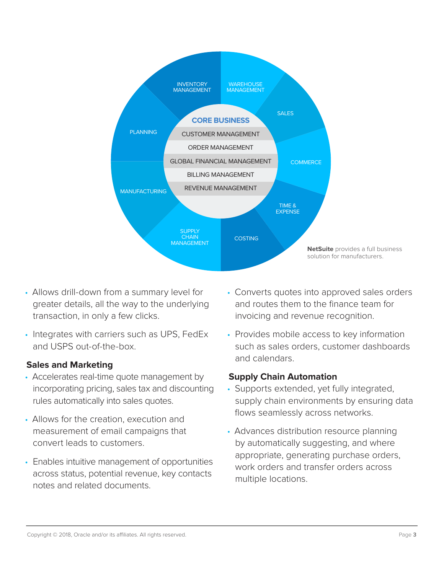

- Allows drill-down from a summary level for greater details, all the way to the underlying transaction, in only a few clicks.
- Integrates with carriers such as UPS, FedEx and USPS out-of-the-box.

## **Sales and Marketing**

- Accelerates real-time quote management by incorporating pricing, sales tax and discounting rules automatically into sales quotes.
- Allows for the creation, execution and measurement of email campaigns that convert leads to customers.
- Enables intuitive management of opportunities across status, potential revenue, key contacts notes and related documents.
- Converts quotes into approved sales orders and routes them to the finance team for invoicing and revenue recognition.
- Provides mobile access to key information such as sales orders, customer dashboards and calendars.

# **Supply Chain Automation**

- Supports extended, yet fully integrated, supply chain environments by ensuring data flows seamlessly across networks.
- Advances distribution resource planning by automatically suggesting, and where appropriate, generating purchase orders, work orders and transfer orders across multiple locations.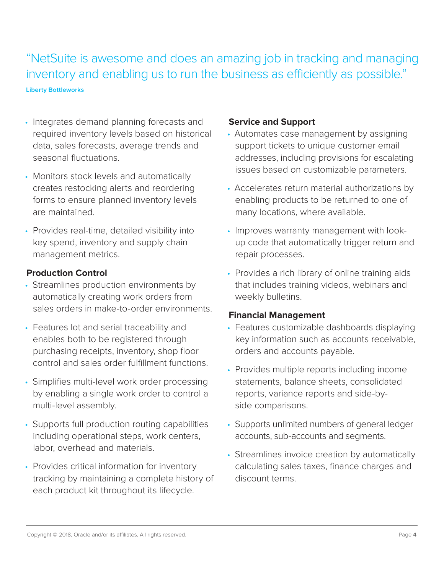"NetSuite is awesome and does an amazing job in tracking and managing inventory and enabling us to run the business as efficiently as possible."

**Liberty Bottleworks**

- Integrates demand planning forecasts and required inventory levels based on historical data, sales forecasts, average trends and seasonal fluctuations.
- Monitors stock levels and automatically creates restocking alerts and reordering forms to ensure planned inventory levels are maintained.
- Provides real-time, detailed visibility into key spend, inventory and supply chain management metrics.

## **Production Control**

- Streamlines production environments by automatically creating work orders from sales orders in make-to-order environments.
- Features lot and serial traceability and enables both to be registered through purchasing receipts, inventory, shop floor control and sales order fulfillment functions.
- Simplifies multi-level work order processing by enabling a single work order to control a multi-level assembly.
- Supports full production routing capabilities including operational steps, work centers, labor, overhead and materials.
- Provides critical information for inventory tracking by maintaining a complete history of each product kit throughout its lifecycle.

#### **Service and Support**

- Automates case management by assigning support tickets to unique customer email addresses, including provisions for escalating issues based on customizable parameters.
- Accelerates return material authorizations by enabling products to be returned to one of many locations, where available.
- Improves warranty management with lookup code that automatically trigger return and repair processes.
- Provides a rich library of online training aids that includes training videos, webinars and weekly bulletins.

#### **Financial Management**

- Features customizable dashboards displaying key information such as accounts receivable, orders and accounts payable.
- Provides multiple reports including income statements, balance sheets, consolidated reports, variance reports and side-byside comparisons.
- Supports unlimited numbers of general ledger accounts, sub-accounts and segments.
- Streamlines invoice creation by automatically calculating sales taxes, finance charges and discount terms.